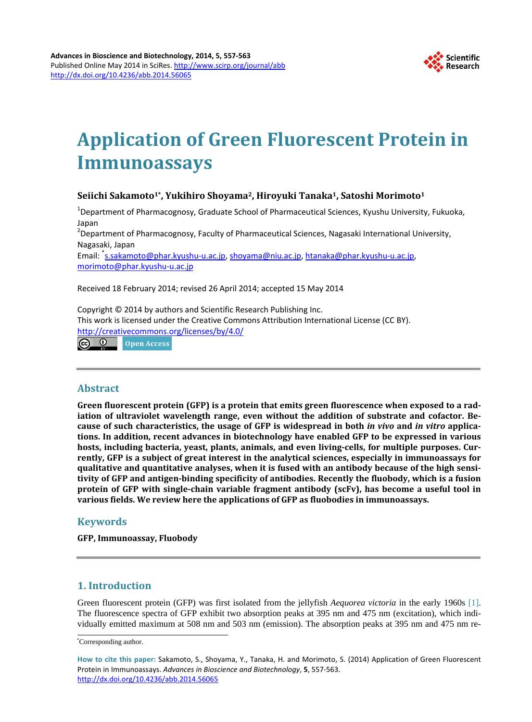

# **Application of Green Fluorescent Protein in Immunoassays**

# **Seiichi Sakamoto1\*, Yukihiro Shoyama2, Hiroyuki Tanaka1, Satoshi Morimoto1**

<sup>1</sup>Department of Pharmacognosy, Graduate School of Pharmaceutical Sciences, Kyushu University, Fukuoka, Japan

2 Department of Pharmacognosy, Faculty of Pharmaceutical Sciences, Nagasaki International University, Nagasaki, Japan

Email: <sup>\*</sup>[s.sakamoto@phar.kyushu-u.ac.jp,](mailto:s.sakamoto@phar.kyushu-u.ac.jp) <u>shoyama@niu.ac.jp</u>, <u>htanaka@phar.kyushu-u.ac.jp</u>, [morimoto@phar.kyushu-u.ac.jp](mailto:morimoto@phar.kyushu-u.ac.jp)

Received 18 February 2014; revised 26 April 2014; accepted 15 May 2014

Copyright © 2014 by authors and Scientific Research Publishing Inc. This work is licensed under the Creative Commons Attribution International License (CC BY). <http://creativecommons.org/licenses/by/4.0/>

<u>ල 0</u> Open Access

# **Abstract**

**Green fluorescent protein (GFP) is a protein that emits green fluorescence when exposed to a radiation of ultraviolet wavelength range, even without the addition of substrate and cofactor. Because of such characteristics, the usage of GFP is widespread in both** *in vivo* **and** *in vitro* **applications. In addition, recent advances in biotechnology have enabled GFP to be expressed in various hosts, including bacteria, yeast, plants, animals, and even living-cells, for multiple purposes. Currently, GFP is a subject of great interest in the analytical sciences, especially in immunoassays for qualitative and quantitative analyses, when it is fused with an antibody because of the high sensitivity of GFP and antigen-binding specificity of antibodies. Recently the fluobody, which is a fusion protein of GFP with single-chain variable fragment antibody (scFv), has become a useful tool in various fields. We review here the applications of GFP as fluobodies in immunoassays.**

# **Keywords**

**GFP, Immunoassay, Fluobody**

# **1. Introduction**

Green fluorescent protein (GFP) was first isolated from the jellyfish *Aequorea victoria* in the early 1960s [\[1\].](#page-3-0) The fluorescence spectra of GFP exhibit two absorption peaks at 395 nm and 475 nm (excitation), which individually emitted maximum at 508 nm and 503 nm (emission). The absorption peaks at 395 nm and 475 nm re-

<sup>\*</sup> Corresponding author.

**How to cite this paper:** Sakamoto, S., Shoyama, Y., Tanaka, H. and Morimoto, S. (2014) Application of Green Fluorescent Protein in Immunoassays. *Advances in Bioscience and Biotechnology*, **5**, 557-563. <http://dx.doi.org/10.4236/abb.2014.56065>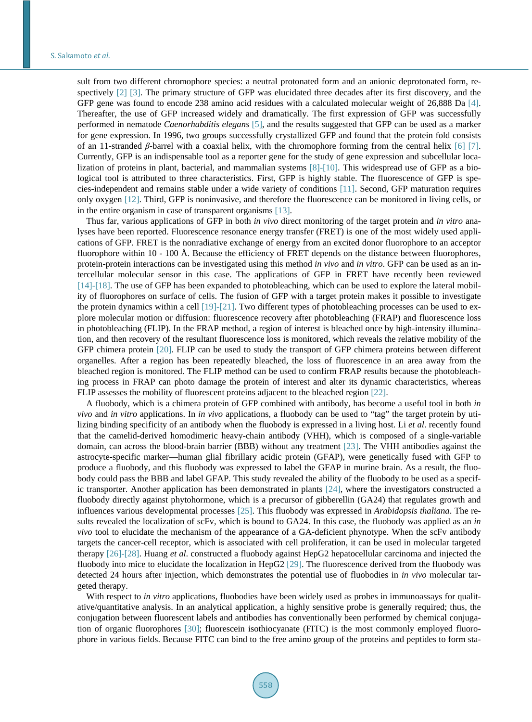sult from two different chromophore species: a neutral protonated form and an anionic deprotonated form, re-spectively [\[2\]](#page-3-1) [\[3\].](#page-3-2) The primary structure of GFP was elucidated three decades after its first discovery, and the GFP gene was found to encode 238 amino acid residues with a calculated molecular weight of 26,888 Da [\[4\].](#page-3-3) Thereafter, the use of GFP increased widely and dramatically. The first expression of GFP was successfully performed in nematode *Caenorhabditis elegans* [\[5\],](#page-4-0) and the results suggested that GFP can be used as a marker for gene expression. In 1996, two groups successfully crystallized GFP and found that the protein fold consists of an 11-stranded *β*-barrel with a coaxial helix, with the chromophore forming from the central helix [\[6\]](#page-4-1) [\[7\].](#page-4-2) Currently, GFP is an indispensable tool as a reporter gene for the study of gene expression and subcellular loca-lization of proteins in plant, bacterial, and mammalian systems [\[8\]-](#page-4-3)[\[10\].](#page-4-4) This widespread use of GFP as a biological tool is attributed to three characteristics. First, GFP is highly stable. The fluorescence of GFP is species-independent and remains stable under a wide variety of conditions [\[11\].](#page-4-5) Second, GFP maturation requires only oxygen [\[12\].](#page-4-6) Third, GFP is noninvasive, and therefore the fluorescence can be monitored in living cells, or in the entire organism in case of transparent organisms [\[13\].](#page-4-7)

Thus far, various applications of GFP in both *in vivo* direct monitoring of the target protein and *in vitro* analyses have been reported. Fluorescence resonance energy transfer (FRET) is one of the most widely used applications of GFP. FRET is the nonradiative exchange of energy from an excited donor fluorophore to an acceptor fluorophore within 10 - 100 Å. Because the efficiency of FRET depends on the distance between fluorophores, protein-protein interactions can be investigated using this method *in vivo* and *in vitro*. GFP can be used as an intercellular molecular sensor in this case. The applications of GFP in FRET have recently been reviewed [\[14\]-](#page-4-8)[\[18\].](#page-4-9) The use of GFP has been expanded to photobleaching, which can be used to explore the lateral mobility of fluorophores on surface of cells. The fusion of GFP with a target protein makes it possible to investigate the protein dynamics within a cell [\[19\]-](#page-4-10)[\[21\].](#page-4-11) Two different types of photobleaching processes can be used to explore molecular motion or diffusion: fluorescence recovery after photobleaching (FRAP) and fluorescence loss in photobleaching (FLIP). In the FRAP method, a region of interest is bleached once by high-intensity illumination, and then recovery of the resultant fluorescence loss is monitored, which reveals the relative mobility of the GFP chimera protein [\[20\].](#page-4-12) FLIP can be used to study the transport of GFP chimera proteins between different organelles. After a region has been repeatedly bleached, the loss of fluorescence in an area away from the bleached region is monitored. The FLIP method can be used to confirm FRAP results because the photobleaching process in FRAP can photo damage the protein of interest and alter its dynamic characteristics, whereas FLIP assesses the mobility of fluorescent proteins adjacent to the bleached region [\[22\].](#page-4-13)

A fluobody, which is a chimera protein of GFP combined with antibody, has become a useful tool in both *in vivo* and *in vitro* applications. In *in vivo* applications, a fluobody can be used to "tag" the target protein by utilizing binding specificity of an antibody when the fluobody is expressed in a living host. Li *et al*. recently found that the camelid-derived homodimeric heavy-chain antibody (VHH), which is composed of a single-variable domain, can across the blood-brain barrier (BBB) without any treatment [\[23\].](#page-4-14) The VHH antibodies against the astrocyte-specific marker—human glial fibrillary acidic protein (GFAP), were genetically fused with GFP to produce a fluobody, and this fluobody was expressed to label the GFAP in murine brain. As a result, the fluobody could pass the BBB and label GFAP. This study revealed the ability of the fluobody to be used as a specific transporter. Another application has been demonstrated in plants [\[24\],](#page-4-15) where the investigators constructed a fluobody directly against phytohormone, which is a precursor of gibberellin (GA24) that regulates growth and influences various developmental processes [\[25\].](#page-4-16) This fluobody was expressed in *Arabidopsis thaliana*. The results revealed the localization of scFv, which is bound to GA24. In this case, the fluobody was applied as an *in vivo* tool to elucidate the mechanism of the appearance of a GA-deficient phynotype. When the scFv antibody targets the cancer-cell receptor, which is associated with cell proliferation, it can be used in molecular targeted therapy [\[26\]](#page-4-17)[-\[28\].](#page-5-0) Huang *et al*. constructed a fluobody against HepG2 hepatocellular carcinoma and injected the fluobody into mice to elucidate the localization in HepG2 [\[29\].](#page-5-1) The fluorescence derived from the fluobody was detected 24 hours after injection, which demonstrates the potential use of fluobodies in *in vivo* molecular targeted therapy.

With respect to *in vitro* applications, fluobodies have been widely used as probes in immunoassays for qualitative/quantitative analysis. In an analytical application, a highly sensitive probe is generally required; thus, the conjugation between fluorescent labels and antibodies has conventionally been performed by chemical conjugation of organic fluorophores [\[30\];](#page-5-2) fluorescein isothiocyanate (FITC) is the most commonly employed fluorophore in various fields. Because FITC can bind to the free amino group of the proteins and peptides to form sta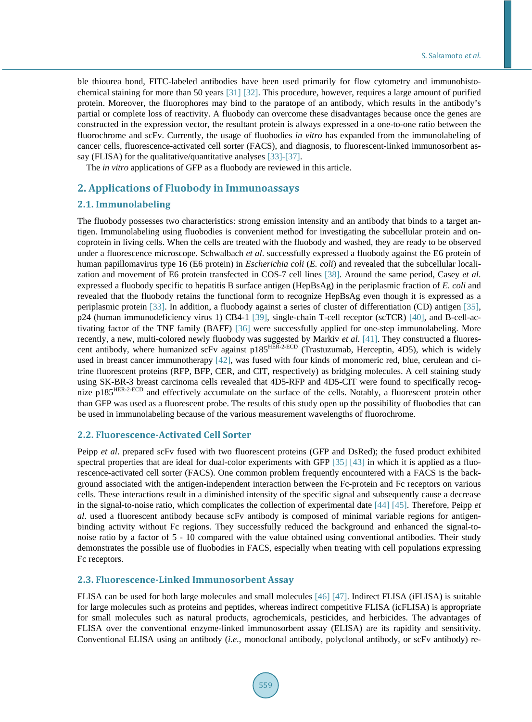ble thiourea bond, FITC-labeled antibodies have been used primarily for flow cytometry and immunohistochemical staining for more than 50 years [\[31\]](#page-5-3) [\[32\].](#page-5-4) This procedure, however, requires a large amount of purified protein. Moreover, the fluorophores may bind to the paratope of an antibody, which results in the antibody's partial or complete loss of reactivity. A fluobody can overcome these disadvantages because once the genes are constructed in the expression vector, the resultant protein is always expressed in a one-to-one ratio between the fluorochrome and scFv. Currently, the usage of fluobodies *in vitro* has expanded from the immunolabeling of cancer cells, fluorescence-activated cell sorter (FACS), and diagnosis, to fluorescent-linked immunosorbent as-say (FLISA) for the qualitative/quantitative analyses [\[33\]](#page-5-5)[-\[37\].](#page-5-6)

The *in vitro* applications of GFP as a fluobody are reviewed in this article.

### **2. Applications of Fluobody in Immunoassays**

#### **2.1. Immunolabeling**

The fluobody possesses two characteristics: strong emission intensity and an antibody that binds to a target antigen. Immunolabeling using fluobodies is convenient method for investigating the subcellular protein and oncoprotein in living cells. When the cells are treated with the fluobody and washed, they are ready to be observed under a fluorescence microscope. Schwalbach *et al*. successfully expressed a fluobody against the E6 protein of human papillomavirus type 16 (E6 protein) in *Escherichia coli* (*E. coli*) and revealed that the subcellular localization and movement of E6 protein transfected in COS-7 cell lines [\[38\].](#page-5-7) Around the same period, Casey *et al*. expressed a fluobody specific to hepatitis B surface antigen (HepBsAg) in the periplasmic fraction of *E. coli* and revealed that the fluobody retains the functional form to recognize HepBsAg even though it is expressed as a periplasmic protein [\[33\].](#page-5-5) In addition, a fluobody against a series of cluster of differentiation (CD) antigen [\[35\],](#page-5-8) p24 (human immunodeficiency virus 1) CB4-1 [\[39\],](#page-5-9) single-chain T-cell receptor (scTCR) [\[40\],](#page-5-10) and B-cell-activating factor of the TNF family (BAFF) [\[36\]](#page-5-11) were successfully applied for one-step immunolabeling. More recently, a new, multi-colored newly fluobody was suggested by Markiv *et al*. [\[41\].](#page-5-12) They constructed a fluorescent antibody, where humanized scFv against p185<sup>HER-2-ECD</sup> (Trastuzumab, Herceptin, 4D5), which is widely used in breast cancer immunotherapy [\[42\],](#page-5-13) was fused with four kinds of monomeric red, blue, cerulean and citrine fluorescent proteins (RFP, BFP, CER, and CIT, respectively) as bridging molecules. A cell staining study using SK-BR-3 breast carcinoma cells revealed that 4D5-RFP and 4D5-CIT were found to specifically recognize p185HER-2-ECD and effectively accumulate on the surface of the cells. Notably, a fluorescent protein other than GFP was used as a fluorescent probe. The results of this study open up the possibility of fluobodies that can be used in immunolabeling because of the various measurement wavelengths of fluorochrome.

#### **2.2. Fluorescence-Activated Cell Sorter**

Peipp *et al*. prepared scFv fused with two fluorescent proteins (GFP and DsRed); the fused product exhibited spectral properties that are ideal for dual-color experiments with GFP [\[35\]](#page-5-8) [\[43\]](#page-5-14) in which it is applied as a fluorescence-activated cell sorter (FACS). One common problem frequently encountered with a FACS is the background associated with the antigen-independent interaction between the Fc-protein and Fc receptors on various cells. These interactions result in a diminished intensity of the specific signal and subsequently cause a decrease in the signal-to-noise ratio, which complicates the collection of experimental date [\[44\]](#page-5-15) [\[45\].](#page-5-16) Therefore, Peipp *et al*. used a fluorescent antibody because scFv antibody is composed of minimal variable regions for antigenbinding activity without Fc regions. They successfully reduced the background and enhanced the signal-tonoise ratio by a factor of 5 - 10 compared with the value obtained using conventional antibodies. Their study demonstrates the possible use of fluobodies in FACS, especially when treating with cell populations expressing Fc receptors.

#### **2.3. Fluorescence-Linked Immunosorbent Assay**

FLISA can be used for both large molecules and small molecules [\[46\]](#page-5-17) [\[47\].](#page-5-18) Indirect FLISA (iFLISA) is suitable for large molecules such as proteins and peptides, whereas indirect competitive FLISA (icFLISA) is appropriate for small molecules such as natural products, agrochemicals, pesticides, and herbicides. The advantages of FLISA over the conventional enzyme-linked immunosorbent assay (ELISA) are its rapidity and sensitivity. Conventional ELISA using an antibody (*i.e*., monoclonal antibody, polyclonal antibody, or scFv antibody) re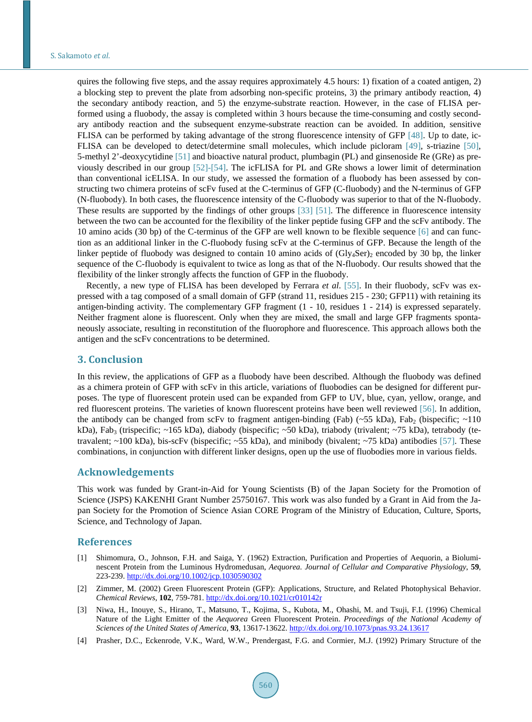quires the following five steps, and the assay requires approximately 4.5 hours: 1) fixation of a coated antigen, 2) a blocking step to prevent the plate from adsorbing non-specific proteins, 3) the primary antibody reaction, 4) the secondary antibody reaction, and 5) the enzyme-substrate reaction. However, in the case of FLISA performed using a fluobody, the assay is completed within 3 hours because the time-consuming and costly secondary antibody reaction and the subsequent enzyme-substrate reaction can be avoided. In addition, sensitive FLISA can be performed by taking advantage of the strong fluorescence intensity of GFP [\[48\].](#page-5-19) Up to date, ic-FLISA can be developed to detect/determine small molecules, which include picloram [\[49\],](#page-6-0) s-triazine [\[50\],](#page-6-1) 5-methyl 2'-deoxycytidine [\[51\]](#page-6-2) and bioactive natural product, plumbagin (PL) and ginsenoside Re (GRe) as previously described in our group [\[52\]](#page-6-3)[-\[54\].](#page-6-4) The icFLISA for PL and GRe shows a lower limit of determination than conventional icELISA. In our study, we assessed the formation of a fluobody has been assessed by constructing two chimera proteins of scFv fused at the C-terminus of GFP (C-fluobody) and the N-terminus of GFP (N-fluobody). In both cases, the fluorescence intensity of the C-fluobody was superior to that of the N-fluobody. These results are supported by the findings of other groups [\[33\]](#page-5-5) [\[51\].](#page-6-2) The difference in fluorescence intensity between the two can be accounted for the flexibility of the linker peptide fusing GFP and the scFv antibody. The 10 amino acids (30 bp) of the C-terminus of the GFP are well known to be flexible sequence [\[6\]](#page-4-1) and can function as an additional linker in the C-fluobody fusing scFv at the C-terminus of GFP. Because the length of the linker peptide of fluobody was designed to contain 10 amino acids of  $(Gly_4Ser)_2$  encoded by 30 bp, the linker sequence of the C-fluobody is equivalent to twice as long as that of the N-fluobody. Our results showed that the flexibility of the linker strongly affects the function of GFP in the fluobody.

Recently, a new type of FLISA has been developed by Ferrara *et al*. [\[55\].](#page-6-5) In their fluobody, scFv was expressed with a tag composed of a small domain of GFP (strand 11, residues 215 - 230; GFP11) with retaining its antigen-binding activity. The complementary GFP fragment (1 - 10, residues 1 - 214) is expressed separately. Neither fragment alone is fluorescent. Only when they are mixed, the small and large GFP fragments spontaneously associate, resulting in reconstitution of the fluorophore and fluorescence. This approach allows both the antigen and the scFv concentrations to be determined.

#### **3. Conclusion**

In this review, the applications of GFP as a fluobody have been described. Although the fluobody was defined as a chimera protein of GFP with scFv in this article, variations of fluobodies can be designed for different purposes. The type of fluorescent protein used can be expanded from GFP to UV, blue, cyan, yellow, orange, and red fluorescent proteins. The varieties of known fluorescent proteins have been well reviewed [\[56\].](#page-6-6) In addition, the antibody can be changed from scFv to fragment antigen-binding (Fab) (~55 kDa), Fab<sub>2</sub> (bispecific; ~110 kDa), Fab<sub>3</sub> (trispecific; ~165 kDa), diabody (bispecific; ~50 kDa), triabody (trivalent; ~75 kDa), tetrabody (tetravalent; ~100 kDa), bis-scFv (bispecific; ~55 kDa), and minibody (bivalent; ~75 kDa) antibodies [\[57\].](#page-6-7) These combinations, in conjunction with different linker designs, open up the use of fluobodies more in various fields.

## **Acknowledgements**

This work was funded by Grant-in-Aid for Young Scientists (B) of the Japan Society for the Promotion of Science (JSPS) KAKENHI Grant Number 25750167. This work was also funded by a Grant in Aid from the Japan Society for the Promotion of Science Asian CORE Program of the Ministry of Education, Culture, Sports, Science, and Technology of Japan.

#### **References**

- <span id="page-3-0"></span>[1] Shimomura, O., Johnson, F.H. and Saiga, Y. (1962) Extraction, Purification and Properties of Aequorin, a Bioluminescent Protein from the Luminous Hydromedusan, *Aequorea. Journal of Cellular and Comparative Physiology*, **59**, 223-239.<http://dx.doi.org/10.1002/jcp.1030590302>
- <span id="page-3-1"></span>[2] Zimmer, M. (2002) Green Fluorescent Protein (GFP): Applications, Structure, and Related Photophysical Behavior. *Chemical Reviews*, **102**, 759-781. <http://dx.doi.org/10.1021/cr010142r>
- <span id="page-3-2"></span>[3] Niwa, H., Inouye, S., Hirano, T., Matsuno, T., Kojima, S., Kubota, M., Ohashi, M. and Tsuji, F.I. (1996) Chemical Nature of the Light Emitter of the *Aequorea* Green Fluorescent Protein. *Proceedings of the National Academy of Sciences of the United States of America*, **93**, 13617-13622. <http://dx.doi.org/10.1073/pnas.93.24.13617>
- <span id="page-3-3"></span>[4] Prasher, D.C., Eckenrode, V.K., Ward, W.W., Prendergast, F.G. and Cormier, M.J. (1992) Primary Structure of the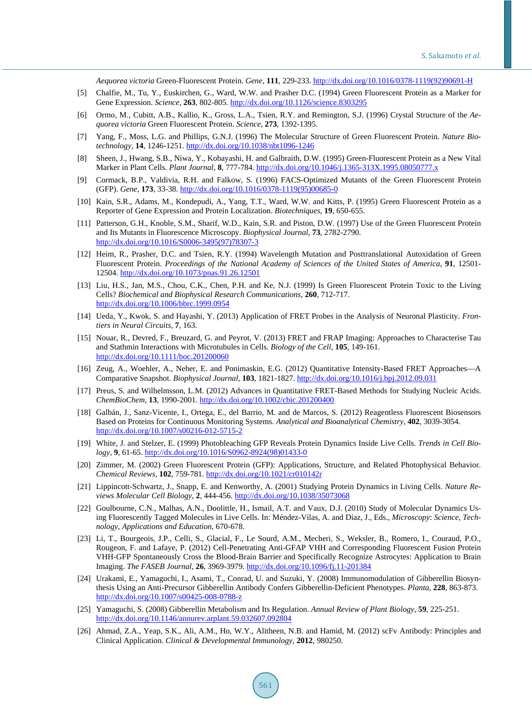*Aequorea victoria* Green-Fluorescent Protein. *Gene*, **111**, 229-233. [http://dx.doi.org/10.1016/0378-1119\(92\)90691-H](http://dx.doi.org/10.1016/0378-1119(92)90691-H)

- <span id="page-4-0"></span>[5] Chalfie, M., Tu, Y., Euskirchen, G., Ward, W.W. and Prasher D.C. (1994) Green Fluorescent Protein as a Marker for Gene Expression. *Science*, **263**, 802-805. <http://dx.doi.org/10.1126/science.8303295>
- <span id="page-4-1"></span>[6] Ormo, M., Cubitt, A.B., Kallio, K., Gross, L.A., Tsien, R.Y. and Remington, S.J. (1996) Crystal Structure of the *Aequorea victoria* Green Fluorescent Protein. *Science*, **273**, 1392-1395.
- <span id="page-4-2"></span>[7] Yang, F., Moss, L.G. and Phillips, G.N.J. (1996) The Molecular Structure of Green Fluorescent Protein. *Nature Biotechnology*, **14**, 1246-1251. <http://dx.doi.org/10.1038/nbt1096-1246>
- <span id="page-4-3"></span>[8] Sheen, J., Hwang, S.B., Niwa, Y., Kobayashi, H. and Galbraith, D.W. (1995) Green-Fluorescent Protein as a New Vital Marker in Plant Cells. *Plant Journal*, **8**, 777-784. <http://dx.doi.org/10.1046/j.1365-313X.1995.08050777.x>
- [9] Cormack, B.P., Valdivia, R.H. and Falkow, S. (1996) FACS-Optimized Mutants of the Green Fluorescent Protein (GFP). *Gene*, **173**, 33-38. [http://dx.doi.org/10.1016/0378-1119\(95\)00685-0](http://dx.doi.org/10.1016/0378-1119(95)00685-0)
- <span id="page-4-4"></span>[10] Kain, S.R., Adams, M., Kondepudi, A., Yang, T.T., Ward, W.W. and Kitts, P. (1995) Green Fluorescent Protein as a Reporter of Gene Expression and Protein Localization. *Biotechniques*, **19**, 650-655.
- <span id="page-4-5"></span>[11] Patterson, G.H., Knoble, S.M., Sharif, W.D., Kain, S.R. and Piston, D.W. (1997) Use of the Green Fluorescent Protein and Its Mutants in Fluorescence Microscopy. *Biophysical Journal*, **73**, 2782-2790. [http://dx.doi.org/10.1016/S0006-3495\(97\)78307-3](http://dx.doi.org/10.1016/S0006-3495(97)78307-3)
- <span id="page-4-6"></span>[12] Heim, R., Prasher, D.C. and Tsien, R.Y. (1994) Wavelength Mutation and Posttranslational Autoxidation of Green Fluorescent Protein. *Proceedings of the National Academy of Sciences of the United States of America*, **91**, 12501- 12504. <http://dx.doi.org/10.1073/pnas.91.26.12501>
- <span id="page-4-7"></span>[13] Liu, H.S., Jan, M.S., Chou, C.K., Chen, P.H. and Ke, N.J. (1999) Is Green Fluorescent Protein Toxic to the Living Cells? *Biochemical and Biophysical Research Communications*, **260**, 712-717. <http://dx.doi.org/10.1006/bbrc.1999.0954>
- <span id="page-4-8"></span>[14] Ueda, Y., Kwok, S. and Hayashi, Y. (2013) Application of FRET Probes in the Analysis of Neuronal Plasticity. *Frontiers in Neural Circuits*, **7**, 163.
- [15] Nouar, R., Devred, F., Breuzard, G. and Peyrot, V. (2013) FRET and FRAP Imaging: Approaches to Characterise Tau and Stathmin Interactions with Microtubules in Cells. *Biology of the Cell*, **105**, 149-161. <http://dx.doi.org/10.1111/boc.201200060>
- [16] Zeug, A., Woehler, A., Neher, E. and Ponimaskin, E.G. (2012) Quantitative Intensity-Based FRET Approaches—A Comparative Snapshot. *Biophysical Journal*, **103**, 1821-1827. <http://dx.doi.org/10.1016/j.bpj.2012.09.031>
- [17] Preus, S. and Wilhelmsson, L.M. (2012) Advances in Quantitative FRET-Based Methods for Studying Nucleic Acids. *ChemBioChem*, **13**, 1990-2001. <http://dx.doi.org/10.1002/cbic.201200400>
- <span id="page-4-9"></span>[18] Galbán, J., Sanz-Vicente, I., Ortega, E., del Barrio, M. and de Marcos, S. (2012) Reagentless Fluorescent Biosensors Based on Proteins for Continuous Monitoring Systems. *Analytical and Bioanalytical Chemistry*, **402**, 3039-3054. <http://dx.doi.org/10.1007/s00216-012-5715-2>
- <span id="page-4-10"></span>[19] White, J. and Stelzer, E. (1999) Photobleaching GFP Reveals Protein Dynamics Inside Live Cells. *Trends in Cell Biology*, **9**, 61-65. [http://dx.doi.org/10.1016/S0962-8924\(98\)01433-0](http://dx.doi.org/10.1016/S0962-8924(98)01433-0)
- <span id="page-4-12"></span>[20] Zimmer, M. (2002) Green Fluorescent Protein (GFP): Applications, Structure, and Related Photophysical Behavior. *Chemical Reviews*, **102**, 759-781. <http://dx.doi.org/10.1021/cr010142r>
- <span id="page-4-11"></span>[21] Lippincott-Schwartz, J., Snapp, E. and Kenworthy, A. (2001) Studying Protein Dynamics in Living Cells. *Nature Reviews Molecular Cell Biology*, **2**, 444-456. <http://dx.doi.org/10.1038/35073068>
- <span id="page-4-13"></span>[22] Goulbourne, C.N., Malhas, A.N., Doolittle, H., Ismail, A.T. and Vaux, D.J. (2010) Study of Molecular Dynamics Using Fluorescently Tagged Molecules in Live Cells. In: Méndez-Vilas, A. and Díaz, J., Eds., *Microscopy*: *Science*, *Technology*, *Applications and Education*, 670-678.
- <span id="page-4-14"></span>[23] Li, T., Bourgeois, J.P., Celli, S., Glacial, F., Le Sourd, A.M., Mecheri, S., Weksler, B., Romero, I., Couraud, P.O., Rougeon, F. and Lafaye, P. (2012) Cell-Penetrating Anti-GFAP VHH and Corresponding Fluorescent Fusion Protein VHH-GFP Spontaneously Cross the Blood-Brain Barrier and Specifically Recognize Astrocytes: Application to Brain Imaging. *The FASEB Journal*, **26**, 3969-3979. <http://dx.doi.org/10.1096/fj.11-201384>
- <span id="page-4-15"></span>[24] Urakami, E., Yamaguchi, I., Asami, T., Conrad, U. and Suzuki, Y. (2008) Immunomodulation of Gibberellin Biosynthesis Using an Anti-Precursor Gibberellin Antibody Confers Gibberellin-Deficient Phenotypes. *Planta*, **228**, 863-873. <http://dx.doi.org/10.1007/s00425-008-0788-z>
- <span id="page-4-16"></span>[25] Yamaguchi, S. (2008) Gibberellin Metabolism and Its Regulation. *Annual Review of Plant Biology*, **59**, 225-251. <http://dx.doi.org/10.1146/annurev.arplant.59.032607.092804>
- <span id="page-4-17"></span>[26] Ahmad, Z.A., Yeap, S.K., Ali, A.M., Ho, W.Y., Alitheen, N.B. and Hamid, M. (2012) scFv Antibody: Principles and Clinical Application. *Clinical & Developmental Immunology*, **2012**, 980250.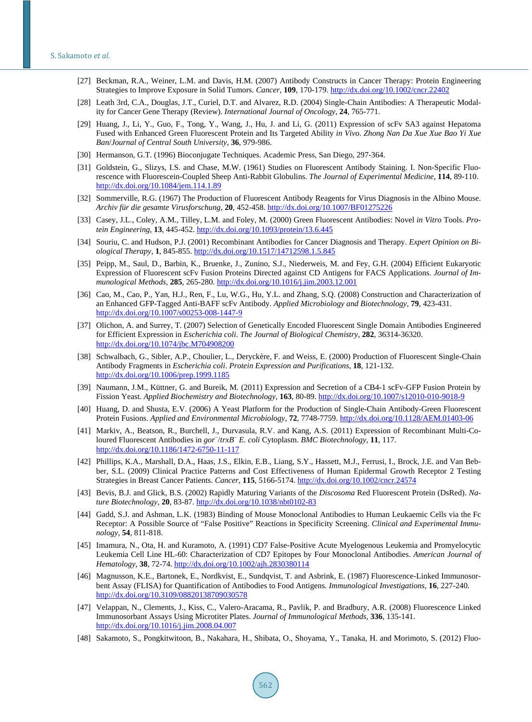- [27] Beckman, R.A., Weiner, L.M. and Davis, H.M. (2007) Antibody Constructs in Cancer Therapy: Protein Engineering Strategies to Improve Exposure in Solid Tumors. *Cancer*, **109**, 170-179. <http://dx.doi.org/10.1002/cncr.22402>
- <span id="page-5-0"></span>[28] Leath 3rd, C.A., Douglas, J.T., Curiel, D.T. and Alvarez, R.D. (2004) Single-Chain Antibodies: A Therapeutic Modality for Cancer Gene Therapy (Review). *International Journal of Oncology*, **24**, 765-771.
- <span id="page-5-1"></span>[29] Huang, J., Li, Y., Guo, F., Tong, Y., Wang, J., Hu, J. and Li, G. (2011) Expression of scFv SA3 against Hepatoma Fused with Enhanced Green Fluorescent Protein and Its Targeted Ability *in Vivo*. *Zhong Nan Da Xue Xue Bao Yi Xue Ban*/*Journal of Central South University*, **36**, 979-986.
- <span id="page-5-2"></span>[30] Hermanson, G.T. (1996) Bioconjugate Techniques. Academic Press, San Diego, 297-364.
- <span id="page-5-3"></span>[31] Goldstein, G., Slizys, I.S. and Chase, M.W. (1961) Studies on Fluorescent Antibody Staining. I. Non-Specific Fluorescence with Fluorescein-Coupled Sheep Anti-Rabbit Globulins. *The Journal of Experimental Medicine*, **114**, 89-110. <http://dx.doi.org/10.1084/jem.114.1.89>
- <span id="page-5-4"></span>[32] Sommerville, R.G. (1967) The Production of Fluorescent Antibody Reagents for Virus Diagnosis in the Albino Mouse. *Archiv für die gesamte Virusforschung*, **20**, 452-458. <http://dx.doi.org/10.1007/BF01275226>
- <span id="page-5-5"></span>[33] Casey, J.L., Coley, A.M., Tilley, L.M. and Foley, M. (2000) Green Fluorescent Antibodies: Novel *in Vitro* Tools. *Protein Engineering*, **13**, 445-452. <http://dx.doi.org/10.1093/protein/13.6.445>
- [34] Souriu, C. and Hudson, P.J. (2001) Recombinant Antibodies for Cancer Diagnosis and Therapy. *Expert Opinion on Biological Therapy*, **1**, 845-855. <http://dx.doi.org/10.1517/14712598.1.5.845>
- <span id="page-5-8"></span>[35] Peipp, M., Saul, D., Barbin, K., Bruenke, J., Zunino, S.J., Niederweis, M. and Fey, G.H. (2004) Efficient Eukaryotic Expression of Fluorescent scFv Fusion Proteins Directed against CD Antigens for FACS Applications. *Journal of Immunological Methods*, **285**, 265-280.<http://dx.doi.org/10.1016/j.jim.2003.12.001>
- <span id="page-5-11"></span>[36] Cao, M., Cao, P., Yan, H.J., Ren, F., Lu, W.G., Hu, Y.L. and Zhang, S.Q. (2008) Construction and Characterization of an Enhanced GFP-Tagged Anti-BAFF scFv Antibody. *Applied Microbiology and Biotechnology*, **79**, 423-431. <http://dx.doi.org/10.1007/s00253-008-1447-9>
- <span id="page-5-6"></span>[37] Olichon, A. and Surrey, T. (2007) Selection of Genetically Encoded Fluorescent Single Domain Antibodies Engineered for Efficient Expression in *Escherichia coli*. *The Journal of Biological Chemistry*, **282**, 36314-36320. <http://dx.doi.org/10.1074/jbc.M704908200>
- <span id="page-5-7"></span>[38] Schwalbach, G., Sibler, A.P., Choulier, L., Deryckère, F. and Weiss, E. (2000) Production of Fluorescent Single-Chain Antibody Fragments in *Escherichia coli*. *Protein Expression and Purifications*, **18**, 121-132. <http://dx.doi.org/10.1006/prep.1999.1185>
- <span id="page-5-9"></span>[39] Naumann, J.M., Küttner, G. and Bureik, M. (2011) Expression and Secretion of a CB4-1 scFv-GFP Fusion Protein by Fission Yeast. *Applied Biochemistry and Biotechnology*, **163**, 80-89. <http://dx.doi.org/10.1007/s12010-010-9018-9>
- <span id="page-5-10"></span>[40] Huang, D. and Shusta, E.V. (2006) A Yeast Platform for the Production of Single-Chain Antibody-Green Fluorescent Protein Fusions. *Applied and Environmental Microbiology*, **72**, 7748-7759. <http://dx.doi.org/10.1128/AEM.01403-06>
- <span id="page-5-12"></span>[41] Markiv, A., Beatson, R., Burchell, J., Durvasula, R.V. and Kang, A.S. (2011) Expression of Recombinant Multi-Coloured Fluorescent Antibodies in *gor*<sup>−</sup> /*trxB*<sup>−</sup> *E. coli* Cytoplasm. *BMC Biotechnology*, **11**, 117. <http://dx.doi.org/10.1186/1472-6750-11-117>
- <span id="page-5-13"></span>[42] Phillips, K.A., Marshall, D.A., Haas, J.S., Elkin, E.B., Liang, S.Y., Hassett, M.J., Ferrusi, I., Brock, J.E. and Van Bebber, S.L. (2009) Clinical Practice Patterns and Cost Effectiveness of Human Epidermal Growth Receptor 2 Testing Strategies in Breast Cancer Patients. *Cancer*, **115**, 5166-5174. <http://dx.doi.org/10.1002/cncr.24574>
- <span id="page-5-14"></span>[43] Bevis, B.J. and Glick, B.S. (2002) Rapidly Maturing Variants of the *Discosoma* Red Fluorescent Protein (DsRed). *Nature Biotechnology*, **20**, 83-87. <http://dx.doi.org/10.1038/nbt0102-83>
- <span id="page-5-15"></span>[44] Gadd, S.J. and Ashman, L.K. (1983) Binding of Mouse Monoclonal Antibodies to Human Leukaemic Cells via the Fc Receptor: A Possible Source of "False Positive" Reactions in Specificity Screening. *Clinical and Experimental Immunology*, **54**, 811-818.
- <span id="page-5-16"></span>[45] Imamura, N., Ota, H. and Kuramoto, A. (1991) CD7 False-Positive Acute Myelogenous Leukemia and Promyelocytic Leukemia Cell Line HL-60: Characterization of CD7 Epitopes by Four Monoclonal Antibodies. *American Journal of Hematology*, **38**, 72-74. <http://dx.doi.org/10.1002/ajh.2830380114>
- <span id="page-5-17"></span>[46] Magnusson, K.E., Bartonek, E., Nordkvist, E., Sundqvist, T. and Asbrink, E. (1987) Fluorescence-Linked Immunosorbent Assay (FLISA) for Quantification of Antibodies to Food Antigens. *Immunological Investigations*, **16**, 227-240. <http://dx.doi.org/10.3109/08820138709030578>
- <span id="page-5-18"></span>[47] Velappan, N., Clements, J., Kiss, C., Valero-Aracama, R., Pavlik, P. and Bradbury, A.R. (2008) Fluorescence Linked Immunosorbant Assays Using Microtiter Plates. *Journal of Immunological Methods*, **336**, 135-141. <http://dx.doi.org/10.1016/j.jim.2008.04.007>
- <span id="page-5-19"></span>[48] Sakamoto, S., Pongkitwitoon, B., Nakahara, H., Shibata, O., Shoyama, Y., Tanaka, H. and Morimoto, S. (2012) Fluo-